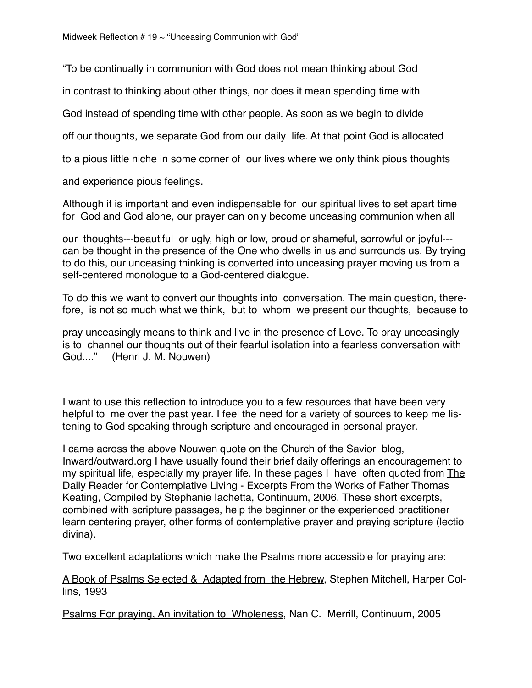"To be continually in communion with God does not mean thinking about God

in contrast to thinking about other things, nor does it mean spending time with

God instead of spending time with other people. As soon as we begin to divide

off our thoughts, we separate God from our daily life. At that point God is allocated

to a pious little niche in some corner of our lives where we only think pious thoughts

and experience pious feelings.

Although it is important and even indispensable for our spiritual lives to set apart time for God and God alone, our prayer can only become unceasing communion when all

our thoughts---beautiful or ugly, high or low, proud or shameful, sorrowful or joyful-- can be thought in the presence of the One who dwells in us and surrounds us. By trying to do this, our unceasing thinking is converted into unceasing prayer moving us from a self-centered monologue to a God-centered dialogue.

To do this we want to convert our thoughts into conversation. The main question, therefore, is not so much what we think, but to whom we present our thoughts, because to

pray unceasingly means to think and live in the presence of Love. To pray unceasingly is to channel our thoughts out of their fearful isolation into a fearless conversation with God...." (Henri J. M. Nouwen)

I want to use this reflection to introduce you to a few resources that have been very helpful to me over the past year. I feel the need for a variety of sources to keep me listening to God speaking through scripture and encouraged in personal prayer.

I came across the above Nouwen quote on the Church of the Savior blog, Inward/outward.org I have usually found their brief daily offerings an encouragement to my spiritual life, especially my prayer life. In these pages I have often quoted from The Daily Reader for Contemplative Living - Excerpts From the Works of Father Thomas Keating, Compiled by Stephanie Iachetta, Continuum, 2006. These short excerpts, combined with scripture passages, help the beginner or the experienced practitioner learn centering prayer, other forms of contemplative prayer and praying scripture (lectio divina).

Two excellent adaptations which make the Psalms more accessible for praying are:

A Book of Psalms Selected & Adapted from the Hebrew, Stephen Mitchell, Harper Collins, 1993

Psalms For praying, An invitation to Wholeness, Nan C. Merrill, Continuum, 2005